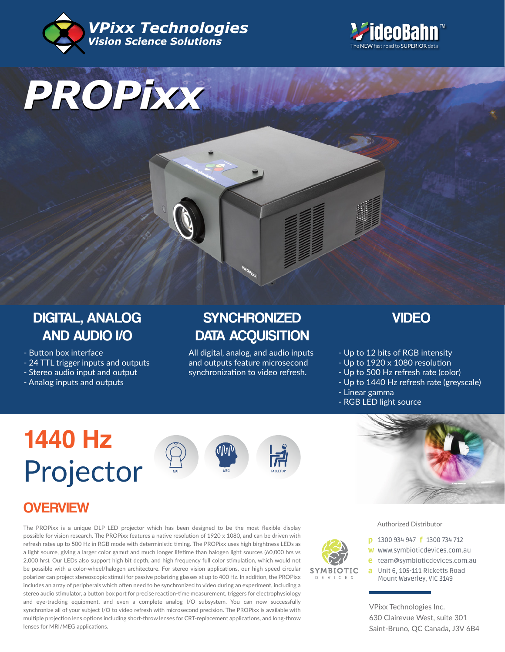



# *PROPixx*

# DIGITAL, ANALOG AND AUDIO I/O

- Button box interface
- 24 TTL trigger inputs and outputs
- Stereo audio input and output
- Analog inputs and outputs

# **SYNCHRONIZED** DATA ACQUISITION

All digital, analog, and audio inputs and outputs feature microsecond synchronization to video refresh.

### VIDEO

- Up to 12 bits of RGB intensity
- Up to 1920 x 1080 resolution
- Up to 500 Hz refresh rate (color)
- Up to 1440 Hz refresh rate (greyscale)
- Linear gamma
- RGB LED light source

# **1 440 Hz** Projector







## **OVERVIEW**

The PROPixx is a unique DLP LED projector which has been designed to be the most flexible display possible for vision research. The PROPixx features a native resolution of 1920 x 1080, and can be driven with refresh rates up to 500 Hz in RGB mode with deterministic timing. The PROPixx uses high birghtness LEDs as a light source, giving a larger color gamut and much longer lifetime than halogen light sources (60,000 hrs vs 2,000 hrs). Our LEDs also support high bit depth, and high frequency full color stimulation, which would not be possible with a color-wheel/halogen architecture. For stereo vision applications, our high speed circular polarizer can project stereoscopic stimuli for passive polarizing glasses at up to 400 Hz. In addition, the PROPixx includes an array of peripherals which often need to be synchronized to video during an experiment, including a stereo audio stimulator, a button box port for precise reaction-time measurement, triggers for electrophysiology and eye-tracking equipment, and even a complete analog I/O subsystem. You can now successfully synchronize all of your subject I/O to video refresh with microsecond precision. The PROPixx is available with multiple projection lens options including short-throw lenses for CRT-replacement applications, and long-throw lenses for MRI/MEG applications.

Authorized Distributor

- **p** 1300 934 947 **f** 1300 734 712
- w www.symbioticdevices.com.au
- [team@symbioticdevices.com.au](https://symbioticdevices.com.au/) e
- Unit 6, 105-111 Ricketts Road a Mount Waverley, VIC 3149

VPixx Technologies Inc. 630 Clairevue West, suite 301 Saint-Bruno, QC Canada, J3V 6B4